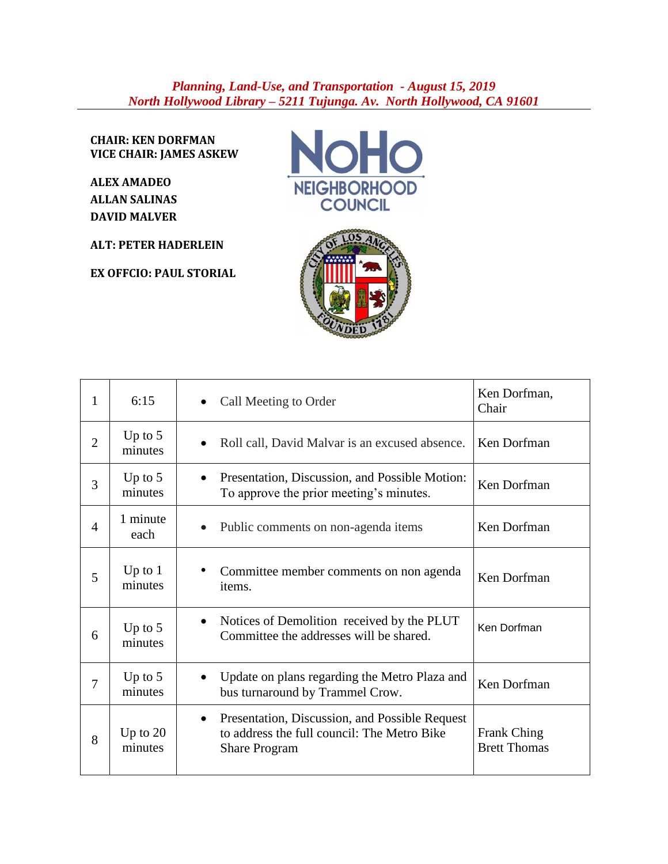## *Planning, Land-Use, and Transportation - August 15, 2019 North Hollywood Library – 5211 Tujunga. Av. North Hollywood, CA 91601*

**CHAIR: KEN DORFMAN VICE CHAIR: JAMES ASKEW**

**ALEX AMADEO ALLAN SALINAS DAVID MALVER**

**ALT: PETER HADERLEIN**

**EX OFFCIO: PAUL STORIAL**





| 1              | 6:15                  | Call Meeting to Order                                                                                                      | Ken Dorfman,<br>Chair                     |
|----------------|-----------------------|----------------------------------------------------------------------------------------------------------------------------|-------------------------------------------|
| $\overline{2}$ | Up to $5$<br>minutes  | Roll call, David Malvar is an excused absence.                                                                             | Ken Dorfman                               |
| 3              | Up to $5$<br>minutes  | Presentation, Discussion, and Possible Motion:<br>$\bullet$<br>To approve the prior meeting's minutes.                     | Ken Dorfman                               |
| $\overline{4}$ | 1 minute<br>each      | Public comments on non-agenda items<br>$\bullet$                                                                           | Ken Dorfman                               |
| 5              | Up to $1$<br>minutes  | Committee member comments on non agenda<br>items.                                                                          | Ken Dorfman                               |
| 6              | Up to $5$<br>minutes  | Notices of Demolition received by the PLUT<br>$\bullet$<br>Committee the addresses will be shared.                         | Ken Dorfman                               |
| $\overline{7}$ | Up to $5$<br>minutes  | Update on plans regarding the Metro Plaza and<br>$\bullet$<br>bus turnaround by Trammel Crow.                              | Ken Dorfman                               |
| 8              | Up to $20$<br>minutes | Presentation, Discussion, and Possible Request<br>٠<br>to address the full council: The Metro Bike<br><b>Share Program</b> | <b>Frank Ching</b><br><b>Brett Thomas</b> |